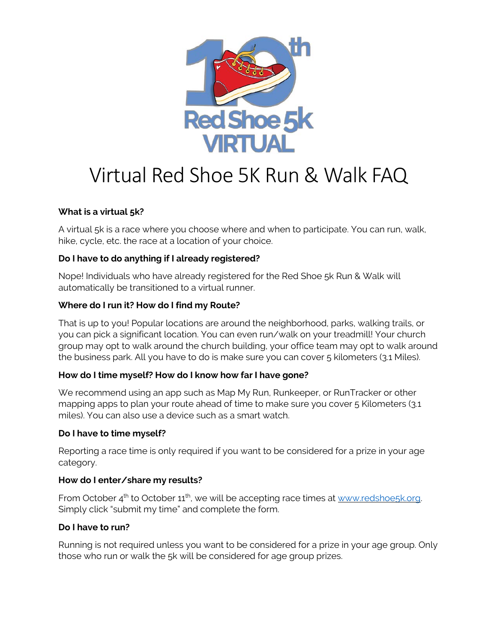

# Virtual Red Shoe 5K Run & Walk FAQ

## **What is a virtual 5k?**

A virtual 5k is a race where you choose where and when to participate. You can run, walk, hike, cycle, etc. the race at a location of your choice.

## **Do I have to do anything if I already registered?**

Nope! Individuals who have already registered for the Red Shoe 5k Run & Walk will automatically be transitioned to a virtual runner.

#### **Where do I run it? How do I find my Route?**

That is up to you! Popular locations are around the neighborhood, parks, walking trails, or you can pick a significant location. You can even run/walk on your treadmill! Your church group may opt to walk around the church building, your office team may opt to walk around the business park. All you have to do is make sure you can cover 5 kilometers (3.1 Miles).

#### **How do I time myself? How do I know how far I have gone?**

We recommend using an app such as Map My Run, Runkeeper, or RunTracker or other mapping apps to plan your route ahead of time to make sure you cover 5 Kilometers (3.1 miles). You can also use a device such as a smart watch.

#### **Do I have to time myself?**

Reporting a race time is only required if you want to be considered for a prize in your age category.

#### **How do I enter/share my results?**

From October 4<sup>th</sup> to October 11<sup>th</sup>, we will be accepting race times at www.redshoe5k.org. Simply click "submit my time" and complete the form.

# **Do I have to run?**

Running is not required unless you want to be considered for a prize in your age group. Only those who run or walk the 5k will be considered for age group prizes.